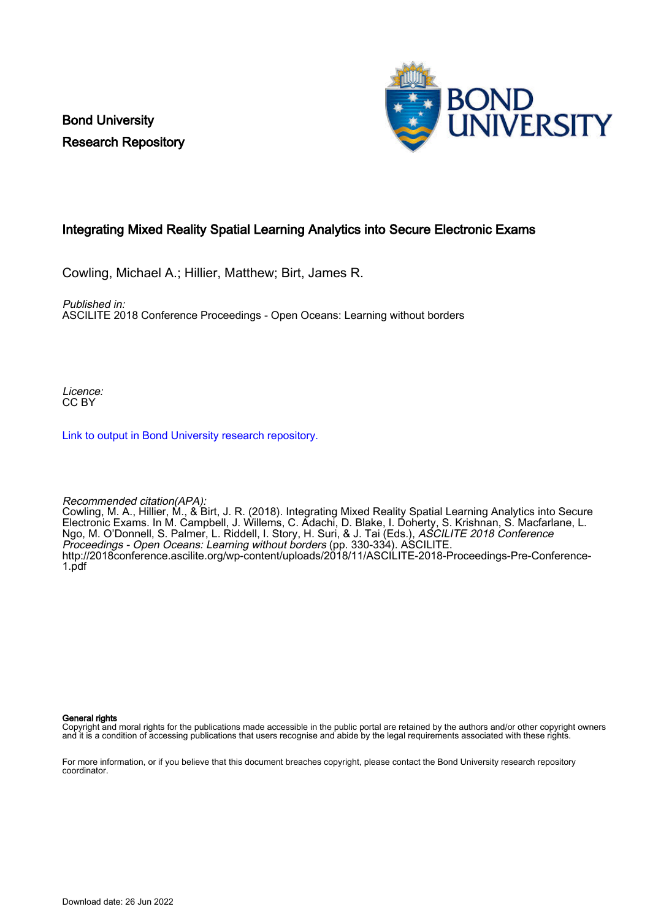Bond University Research Repository



#### Integrating Mixed Reality Spatial Learning Analytics into Secure Electronic Exams

Cowling, Michael A.; Hillier, Matthew; Birt, James R.

Published in:

ASCILITE 2018 Conference Proceedings - Open Oceans: Learning without borders

Licence: CC BY

[Link to output in Bond University research repository.](https://research.bond.edu.au/en/publications/dd174f6b-6510-499c-bcf0-44e58d7ee121)

Recommended citation(APA):

Cowling, M. A., Hillier, M., & Birt, J. R. (2018). Integrating Mixed Reality Spatial Learning Analytics into Secure Electronic Exams. In M. Campbell, J. Willems, C. Adachi, D. Blake, I. Doherty, S. Krishnan, S. Macfarlane, L. Ngo, M. O'Donnell, S. Palmer, L. Riddell, I. Story, H. Suri, & J. Tai (Eds.), *ASCILITE 2018 Conference* Proceedings - Open Oceans: Learning without borders (pp. 330-334). ASCILITE. [http://2018conference.ascilite.org/wp-content/uploads/2018/11/ASCILITE-2018-Proceedings-Pre-Conference-](http://2018conference.ascilite.org/wp-content/uploads/2018/11/ASCILITE-2018-Proceedings-Pre-Conference-1.pdf)[1.pdf](http://2018conference.ascilite.org/wp-content/uploads/2018/11/ASCILITE-2018-Proceedings-Pre-Conference-1.pdf)

General rights

Copyright and moral rights for the publications made accessible in the public portal are retained by the authors and/or other copyright owners and it is a condition of accessing publications that users recognise and abide by the legal requirements associated with these rights.

For more information, or if you believe that this document breaches copyright, please contact the Bond University research repository coordinator.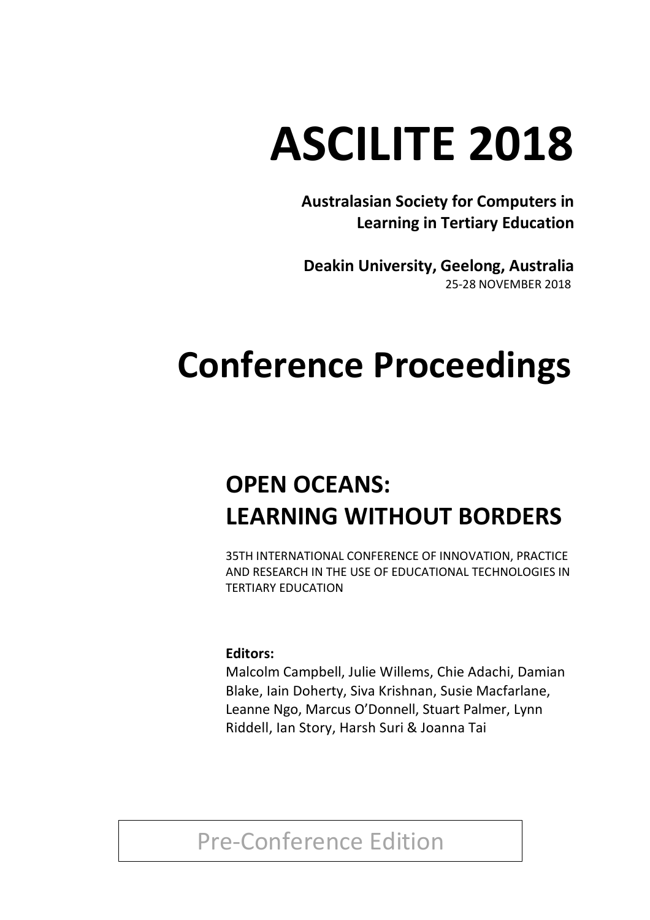# **ASCILITE 2018**

**Australasian Society for Computers in Learning in Tertiary Education**

**Deakin University, Geelong, Australia** 25-28 NOVEMBER 2018

## **Conference Proceedings**

## **OPEN OCEANS: LEARNING WITHOUT BORDERS**

35TH INTERNATIONAL CONFERENCE OF INNOVATION, PRACTICE AND RESEARCH IN THE USE OF EDUCATIONAL TECHNOLOGIES IN TERTIARY EDUCATION

#### **Editors:**

Malcolm Campbell, Julie Willems, Chie Adachi, Damian Blake, Iain Doherty, Siva Krishnan, Susie Macfarlane, Leanne Ngo, Marcus O'Donnell, Stuart Palmer, Lynn Riddell, Ian Story, Harsh Suri & Joanna Tai

### Pre-Conference Edition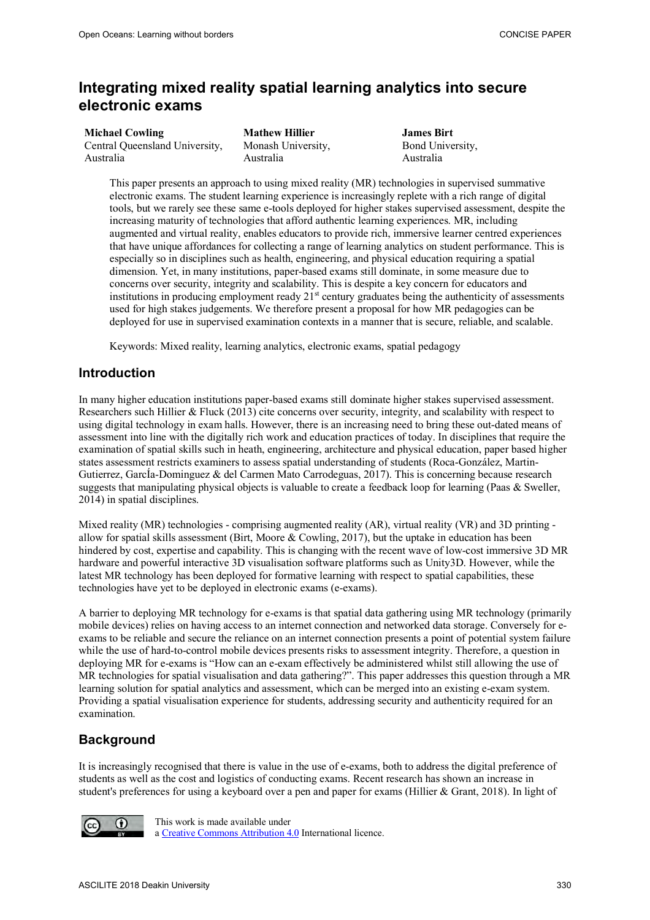#### **Integrating mixed reality spatial learning analytics into secure electronic exams**

| <b>Michael Cowling</b>         | <b>Mathew Hillier</b> |
|--------------------------------|-----------------------|
| Central Queensland University. | Monash University,    |
| Australia                      | Australia             |

**James Birt**  Bond University, Australia

This paper presents an approach to using mixed reality (MR) technologies in supervised summative electronic exams. The student learning experience is increasingly replete with a rich range of digital tools, but we rarely see these same e-tools deployed for higher stakes supervised assessment, despite the increasing maturity of technologies that afford authentic learning experiences. MR, including augmented and virtual reality, enables educators to provide rich, immersive learner centred experiences that have unique affordances for collecting a range of learning analytics on student performance. This is especially so in disciplines such as health, engineering, and physical education requiring a spatial dimension. Yet, in many institutions, paper-based exams still dominate, in some measure due to concerns over security, integrity and scalability. This is despite a key concern for educators and institutions in producing employment ready  $21<sup>st</sup>$  century graduates being the authenticity of assessments used for high stakes judgements. We therefore present a proposal for how MR pedagogies can be deployed for use in supervised examination contexts in a manner that is secure, reliable, and scalable.

Keywords: Mixed reality, learning analytics, electronic exams, spatial pedagogy

#### **Introduction**

In many higher education institutions paper-based exams still dominate higher stakes supervised assessment. Researchers such Hillier & Fluck (2013) cite concerns over security, integrity, and scalability with respect to using digital technology in exam halls. However, there is an increasing need to bring these out-dated means of assessment into line with the digitally rich work and education practices of today. In disciplines that require the examination of spatial skills such in heath, engineering, architecture and physical education, paper based higher states assessment restricts examiners to assess spatial understanding of students (Roca-González, Martin-Gutierrez, GarcÍa-Dominguez & del Carmen Mato Carrodeguas, 2017). This is concerning because research suggests that manipulating physical objects is valuable to create a feedback loop for learning (Paas & Sweller, 2014) in spatial disciplines.

Mixed reality (MR) technologies - comprising augmented reality (AR), virtual reality (VR) and 3D printing allow for spatial skills assessment (Birt, Moore & Cowling, 2017), but the uptake in education has been hindered by cost, expertise and capability. This is changing with the recent wave of low-cost immersive 3D MR hardware and powerful interactive 3D visualisation software platforms such as Unity3D. However, while the latest MR technology has been deployed for formative learning with respect to spatial capabilities, these technologies have yet to be deployed in electronic exams (e-exams).

A barrier to deploying MR technology for e-exams is that spatial data gathering using MR technology (primarily mobile devices) relies on having access to an internet connection and networked data storage. Conversely for eexams to be reliable and secure the reliance on an internet connection presents a point of potential system failure while the use of hard-to-control mobile devices presents risks to assessment integrity. Therefore, a question in deploying MR for e-exams is "How can an e-exam effectively be administered whilst still allowing the use of MR technologies for spatial visualisation and data gathering?". This paper addresses this question through a MR learning solution for spatial analytics and assessment, which can be merged into an existing e-exam system. Providing a spatial visualisation experience for students, addressing security and authenticity required for an examination.

#### **Background**

It is increasingly recognised that there is value in the use of e-exams, both to address the digital preference of students as well as the cost and logistics of conducting exams. Recent research has shown an increase in student's preferences for using a keyboard over a pen and paper for exams (Hillier & Grant, 2018). In light of



This work is made available under a Creative Commons Attribution 4.0 International licence.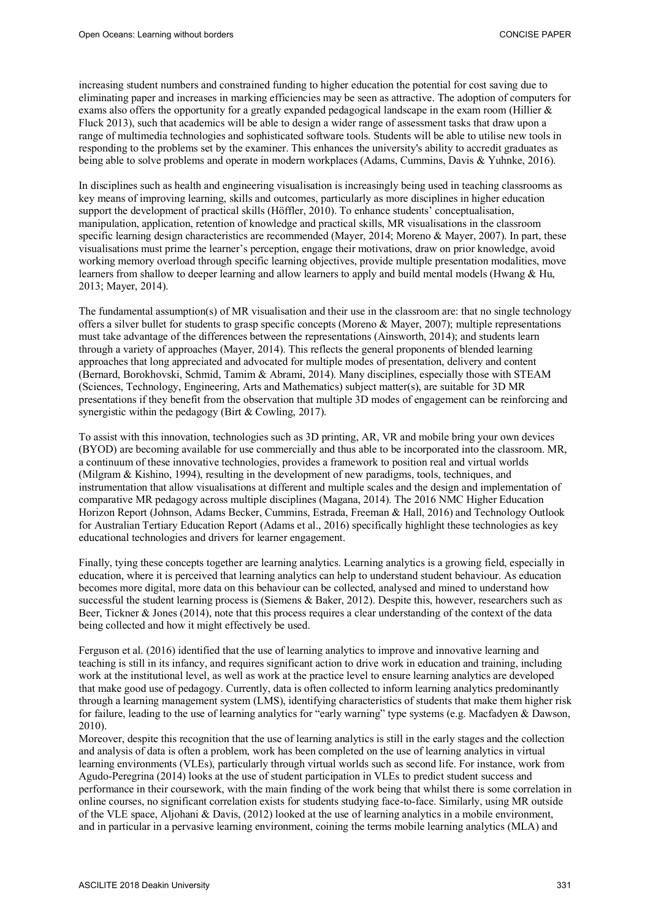increasing student numbers and constrained funding to higher education the potential for cost saving due to eliminating paper and increases in marking efficiencies may be seen as attractive. The adoption of computers for exams also offers the opportunity for a greatly expanded pedagogical landscape in the exam room (Hillier  $\&$ Fluck 2013), such that academics will be able to design a wider range of assessment tasks that draw upon a range of multimedia technologies and sophisticated software tools. Students will be able to utilise new tools in responding to the problems set by the examiner. This enhances the university's ability to accredit graduates as being able to solve problems and operate in modern workplaces (Adams, Cummins, Davis & Yuhnke, 2016).

In disciplines such as health and engineering visualisation is increasingly being used in teaching classrooms as key means of improving learning, skills and outcomes, particularly as more disciplines in higher education support the development of practical skills (Höffler, 2010). To enhance students' conceptualisation, manipulation, application, retention of knowledge and practical skills, MR visualisations in the classroom specific learning design characteristics are recommended (Mayer, 2014; Moreno & Mayer, 2007). In part, these visualisations must prime the learner's perception, engage their motivations, draw on prior knowledge, avoid working memory overload through specific learning objectives, provide multiple presentation modalities, move learners from shallow to deeper learning and allow learners to apply and build mental models (Hwang & Hu, 2013; Mayer, 2014).

The fundamental assumption(s) of MR visualisation and their use in the classroom are: that no single technology offers a silver bullet for students to grasp specific concepts (Moreno & Mayer, 2007); multiple representations must take advantage of the differences between the representations (Ainsworth, 2014); and students learn through a variety of approaches (Mayer, 2014). This reflects the general proponents of blended learning approaches that long appreciated and advocated for multiple modes of presentation, delivery and content (Bernard, Borokhovski, Schmid, Tamim & Abrami, 2014). Many disciplines, especially those with STEAM (Sciences, Technology, Engineering, Arts and Mathematics) subject matter(s), are suitable for 3D MR presentations if they benefit from the observation that multiple 3D modes of engagement can be reinforcing and synergistic within the pedagogy (Birt & Cowling, 2017).

To assist with this innovation, technologies such as 3D printing, AR, VR and mobile bring your own devices (BYOD) are becoming available for use commercially and thus able to be incorporated into the classroom. MR, a continuum of these innovative technologies, provides a framework to position real and virtual worlds (Milgram & Kishino, 1994), resulting in the development of new paradigms, tools, techniques, and instrumentation that allow visualisations at different and multiple scales and the design and implementation of comparative MR pedagogy across multiple disciplines (Magana, 2014). The 2016 NMC Higher Education Horizon Report (Johnson, Adams Becker, Cummins, Estrada, Freeman & Hall, 2016) and Technology Outlook for Australian Tertiary Education Report (Adams et al., 2016) specifically highlight these technologies as key educational technologies and drivers for learner engagement.

Finally, tying these concepts together are learning analytics. Learning analytics is a growing field, especially in education, where it is perceived that learning analytics can help to understand student behaviour. As education becomes more digital, more data on this behaviour can be collected, analysed and mined to understand how successful the student learning process is (Siemens & Baker, 2012). Despite this, however, researchers such as Beer, Tickner & Jones (2014), note that this process requires a clear understanding of the context of the data being collected and how it might effectively be used.

Ferguson et al. (2016) identified that the use of learning analytics to improve and innovative learning and teaching is still in its infancy, and requires significant action to drive work in education and training, including work at the institutional level, as well as work at the practice level to ensure learning analytics are developed that make good use of pedagogy. Currently, data is often collected to inform learning analytics predominantly through a learning management system (LMS), identifying characteristics of students that make them higher risk for failure, leading to the use of learning analytics for "early warning" type systems (e.g. Macfadyen & Dawson, 2010).

Moreover, despite this recognition that the use of learning analytics is still in the early stages and the collection and analysis of data is often a problem, work has been completed on the use of learning analytics in virtual learning environments (VLEs), particularly through virtual worlds such as second life. For instance, work from Agudo-Peregrina (2014) looks at the use of student participation in VLEs to predict student success and performance in their coursework, with the main finding of the work being that whilst there is some correlation in online courses, no significant correlation exists for students studying face-to-face. Similarly, using MR outside of the VLE space, Aljohani & Davis, (2012) looked at the use of learning analytics in a mobile environment, and in particular in a pervasive learning environment, coining the terms mobile learning analytics (MLA) and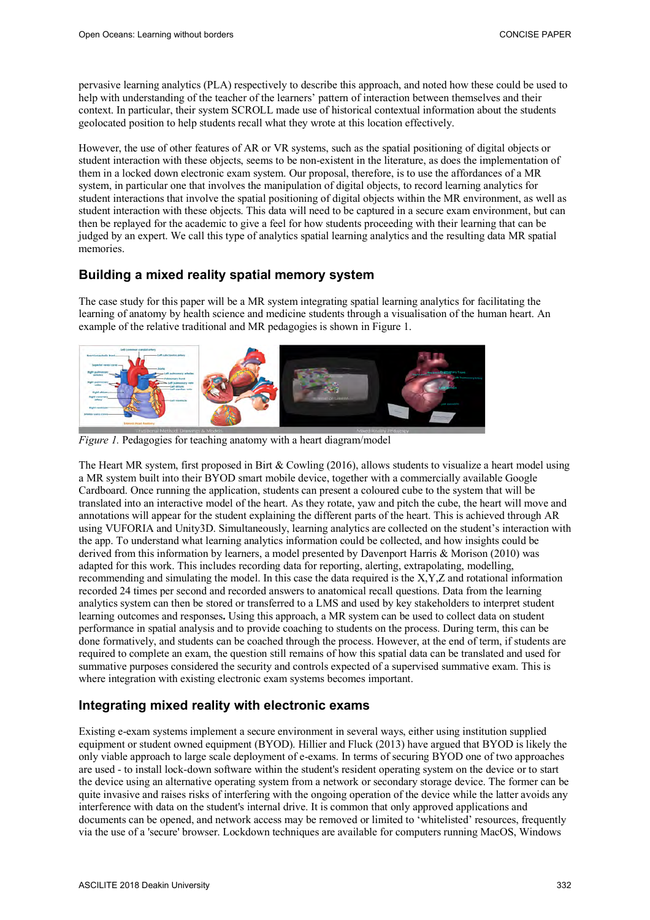pervasive learning analytics (PLA) respectively to describe this approach, and noted how these could be used to help with understanding of the teacher of the learners' pattern of interaction between themselves and their context. In particular, their system SCROLL made use of historical contextual information about the students geolocated position to help students recall what they wrote at this location effectively.

However, the use of other features of AR or VR systems, such as the spatial positioning of digital objects or student interaction with these objects, seems to be non-existent in the literature, as does the implementation of them in a locked down electronic exam system. Our proposal, therefore, is to use the affordances of a MR system, in particular one that involves the manipulation of digital objects, to record learning analytics for student interactions that involve the spatial positioning of digital objects within the MR environment, as well as student interaction with these objects. This data will need to be captured in a secure exam environment, but can then be replayed for the academic to give a feel for how students proceeding with their learning that can be judged by an expert. We call this type of analytics spatial learning analytics and the resulting data MR spatial memories.

#### **Building a mixed reality spatial memory system**

The case study for this paper will be a MR system integrating spatial learning analytics for facilitating the learning of anatomy by health science and medicine students through a visualisation of the human heart. An example of the relative traditional and MR pedagogies is shown in Figure 1.



*Figure 1.* Pedagogies for teaching anatomy with a heart diagram/model

The Heart MR system, first proposed in Birt & Cowling (2016), allows students to visualize a heart model using a MR system built into their BYOD smart mobile device, together with a commercially available Google Cardboard. Once running the application, students can present a coloured cube to the system that will be translated into an interactive model of the heart. As they rotate, yaw and pitch the cube, the heart will move and annotations will appear for the student explaining the different parts of the heart. This is achieved through AR using VUFORIA and Unity3D. Simultaneously, learning analytics are collected on the student's interaction with the app. To understand what learning analytics information could be collected, and how insights could be derived from this information by learners, a model presented by Davenport Harris & Morison (2010) was adapted for this work. This includes recording data for reporting, alerting, extrapolating, modelling, recommending and simulating the model. In this case the data required is the X,Y,Z and rotational information recorded 24 times per second and recorded answers to anatomical recall questions. Data from the learning analytics system can then be stored or transferred to a LMS and used by key stakeholders to interpret student learning outcomes and responses**.** Using this approach, a MR system can be used to collect data on student performance in spatial analysis and to provide coaching to students on the process. During term, this can be done formatively, and students can be coached through the process. However, at the end of term, if students are required to complete an exam, the question still remains of how this spatial data can be translated and used for summative purposes considered the security and controls expected of a supervised summative exam. This is where integration with existing electronic exam systems becomes important.

#### **Integrating mixed reality with electronic exams**

Existing e-exam systems implement a secure environment in several ways, either using institution supplied equipment or student owned equipment (BYOD). Hillier and Fluck (2013) have argued that BYOD is likely the only viable approach to large scale deployment of e-exams. In terms of securing BYOD one of two approaches are used - to install lock-down software within the student's resident operating system on the device or to start the device using an alternative operating system from a network or secondary storage device. The former can be quite invasive and raises risks of interfering with the ongoing operation of the device while the latter avoids any interference with data on the student's internal drive. It is common that only approved applications and documents can be opened, and network access may be removed or limited to 'whitelisted' resources, frequently via the use of a 'secure' browser. Lockdown techniques are available for computers running MacOS, Windows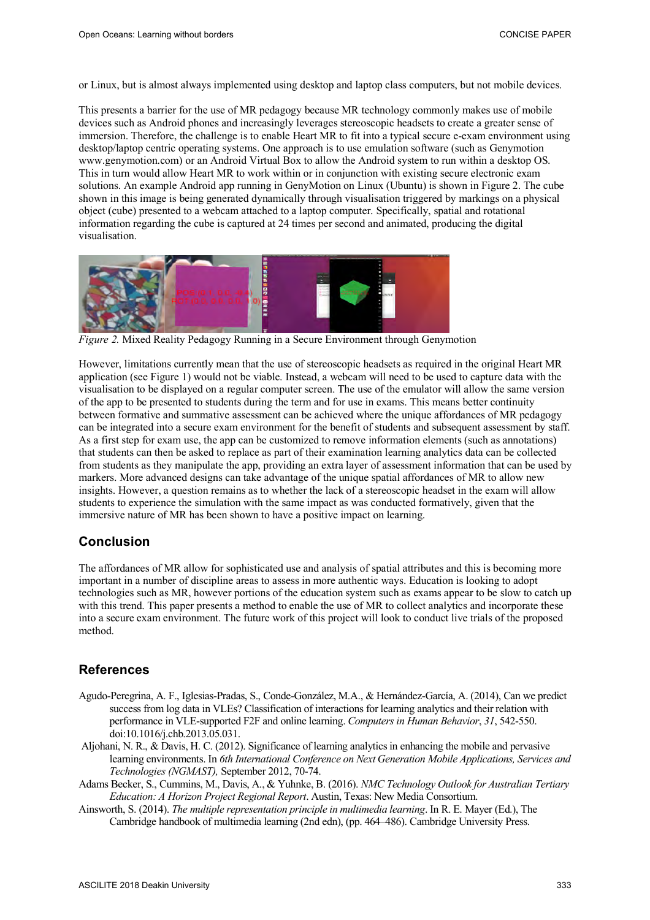or Linux, but is almost always implemented using desktop and laptop class computers, but not mobile devices.

This presents a barrier for the use of MR pedagogy because MR technology commonly makes use of mobile devices such as Android phones and increasingly leverages stereoscopic headsets to create a greater sense of immersion. Therefore, the challenge is to enable Heart MR to fit into a typical secure e-exam environment using desktop/laptop centric operating systems. One approach is to use emulation software (such as Genymotion www.genymotion.com) or an Android Virtual Box to allow the Android system to run within a desktop OS. This in turn would allow Heart MR to work within or in conjunction with existing secure electronic exam solutions. An example Android app running in GenyMotion on Linux (Ubuntu) is shown in Figure 2. The cube shown in this image is being generated dynamically through visualisation triggered by markings on a physical object (cube) presented to a webcam attached to a laptop computer. Specifically, spatial and rotational information regarding the cube is captured at 24 times per second and animated, producing the digital visualisation.



*Figure 2.* Mixed Reality Pedagogy Running in a Secure Environment through Genymotion

However, limitations currently mean that the use of stereoscopic headsets as required in the original Heart MR application (see Figure 1) would not be viable. Instead, a webcam will need to be used to capture data with the visualisation to be displayed on a regular computer screen. The use of the emulator will allow the same version of the app to be presented to students during the term and for use in exams. This means better continuity between formative and summative assessment can be achieved where the unique affordances of MR pedagogy can be integrated into a secure exam environment for the benefit of students and subsequent assessment by staff. As a first step for exam use, the app can be customized to remove information elements (such as annotations) that students can then be asked to replace as part of their examination learning analytics data can be collected from students as they manipulate the app, providing an extra layer of assessment information that can be used by markers. More advanced designs can take advantage of the unique spatial affordances of MR to allow new insights. However, a question remains as to whether the lack of a stereoscopic headset in the exam will allow students to experience the simulation with the same impact as was conducted formatively, given that the immersive nature of MR has been shown to have a positive impact on learning.

#### **Conclusion**

The affordances of MR allow for sophisticated use and analysis of spatial attributes and this is becoming more important in a number of discipline areas to assess in more authentic ways. Education is looking to adopt technologies such as MR, however portions of the education system such as exams appear to be slow to catch up with this trend. This paper presents a method to enable the use of MR to collect analytics and incorporate these into a secure exam environment. The future work of this project will look to conduct live trials of the proposed method.

#### **References**

- Agudo-Peregrina, A. F., Iglesias-Pradas, S., Conde-González, M.A., & Hernández-García, A. (2014), Can we predict success from log data in VLEs? Classification of interactions for learning analytics and their relation with performance in VLE-supported F2F and online learning. *Computers in Human Behavior*, *31*, 542-550. doi:10.1016/j.chb.2013.05.031.
- Aljohani, N. R., & Davis, H. C. (2012). Significance of learning analytics in enhancing the mobile and pervasive learning environments. In *6th International Conference on Next Generation Mobile Applications, Services and Technologies (NGMAST),* September 2012, 70-74.
- Adams Becker, S., Cummins, M., Davis, A., & Yuhnke, B. (2016). *NMC Technology Outlook for Australian Tertiary Education: A Horizon Project Regional Report*. Austin, Texas: New Media Consortium.
- Ainsworth, S. (2014). *The multiple representation principle in multimedia learning*. In R. E. Mayer (Ed.), The Cambridge handbook of multimedia learning (2nd edn), (pp. 464–486). Cambridge University Press.